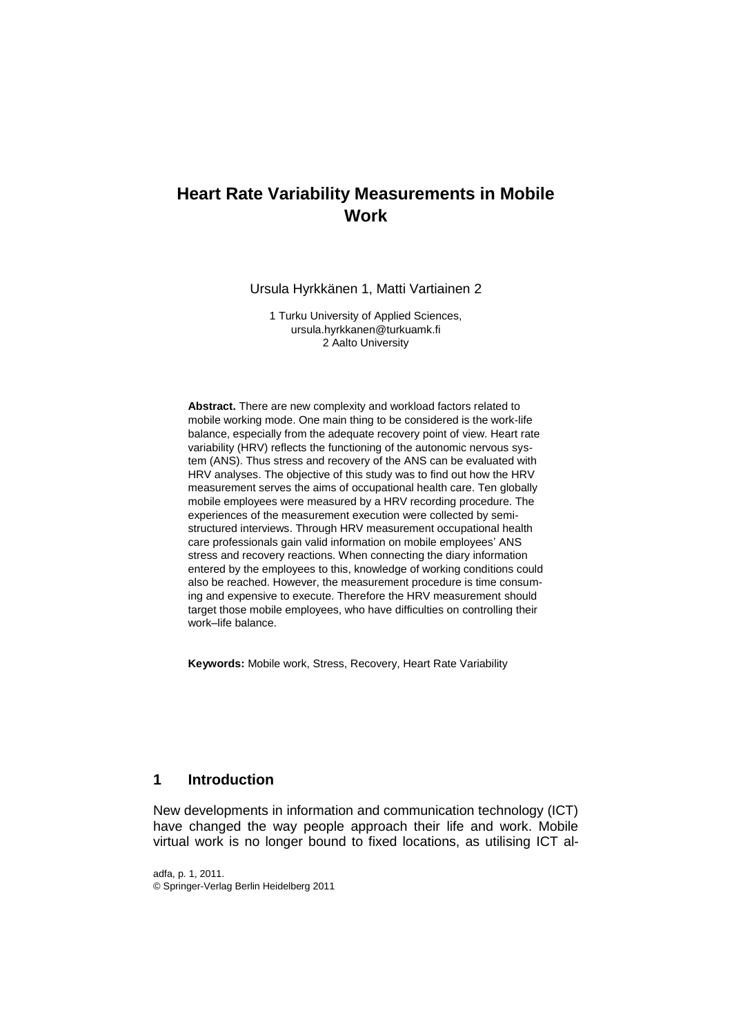# **Heart Rate Variability Measurements in Mobile Work**

Ursula Hyrkkänen 1, Matti Vartiainen 2

1 Turku University of Applied Sciences, ursula.hyrkkanen@turkuamk.fi 2 Aalto University

**Abstract.** There are new complexity and workload factors related to mobile working mode. One main thing to be considered is the work-life balance, especially from the adequate recovery point of view. Heart rate variability (HRV) reflects the functioning of the autonomic nervous system (ANS). Thus stress and recovery of the ANS can be evaluated with HRV analyses. The objective of this study was to find out how the HRV measurement serves the aims of occupational health care. Ten globally mobile employees were measured by a HRV recording procedure. The experiences of the measurement execution were collected by semistructured interviews. Through HRV measurement occupational health care professionals gain valid information on mobile employees' ANS stress and recovery reactions. When connecting the diary information entered by the employees to this, knowledge of working conditions could also be reached. However, the measurement procedure is time consuming and expensive to execute. Therefore the HRV measurement should target those mobile employees, who have difficulties on controlling their work–life balance.

**Keywords:** Mobile work, Stress, Recovery, Heart Rate Variability

### **1 Introduction**

New developments in information and communication technology (ICT) have changed the way people approach their life and work. Mobile virtual work is no longer bound to fixed locations, as utilising ICT al-

adfa, p. 1, 2011. © Springer-Verlag Berlin Heidelberg 2011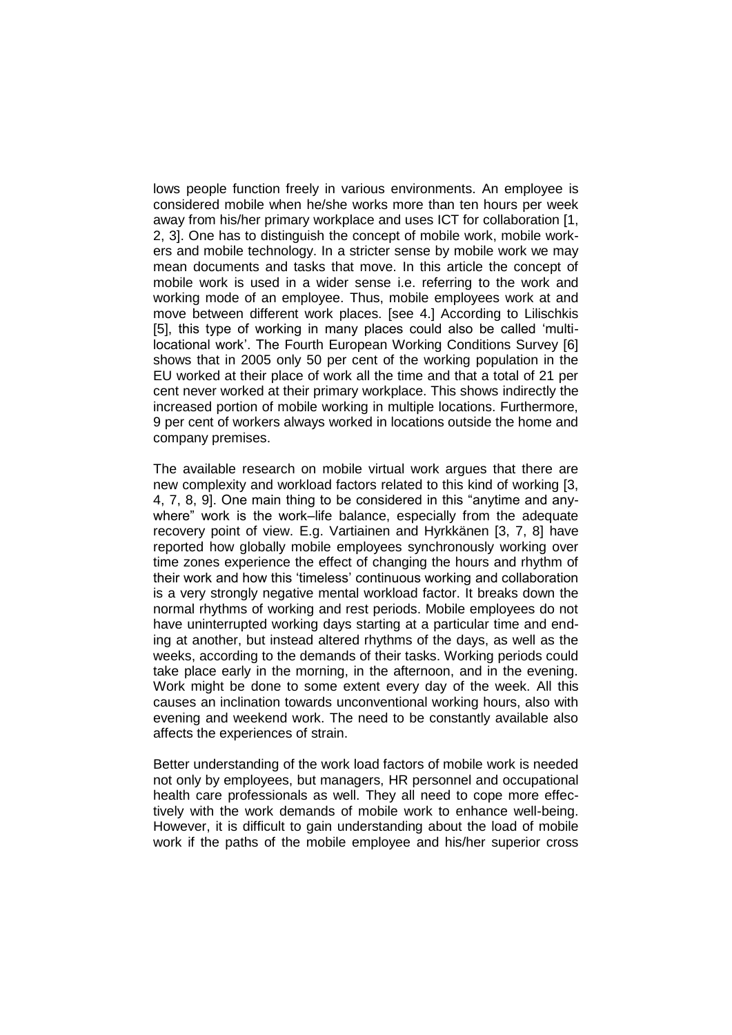lows people function freely in various environments. An employee is considered mobile when he/she works more than ten hours per week away from his/her primary workplace and uses ICT for collaboration [1, 2, 3]. One has to distinguish the concept of mobile work, mobile workers and mobile technology. In a stricter sense by mobile work we may mean documents and tasks that move. In this article the concept of mobile work is used in a wider sense i.e. referring to the work and working mode of an employee. Thus, mobile employees work at and move between different work places. [see 4.] According to Lilischkis [5], this type of working in many places could also be called 'multilocational work'. The Fourth European Working Conditions Survey [6] shows that in 2005 only 50 per cent of the working population in the EU worked at their place of work all the time and that a total of 21 per cent never worked at their primary workplace. This shows indirectly the increased portion of mobile working in multiple locations. Furthermore, 9 per cent of workers always worked in locations outside the home and company premises.

The available research on mobile virtual work argues that there are new complexity and workload factors related to this kind of working [3, 4, 7, 8, 9]. One main thing to be considered in this "anytime and anywhere" work is the work–life balance, especially from the adequate recovery point of view. E.g. Vartiainen and Hyrkkänen [3, 7, 8] have reported how globally mobile employees synchronously working over time zones experience the effect of changing the hours and rhythm of their work and how this 'timeless' continuous working and collaboration is a very strongly negative mental workload factor. It breaks down the normal rhythms of working and rest periods. Mobile employees do not have uninterrupted working days starting at a particular time and ending at another, but instead altered rhythms of the days, as well as the weeks, according to the demands of their tasks. Working periods could take place early in the morning, in the afternoon, and in the evening. Work might be done to some extent every day of the week. All this causes an inclination towards unconventional working hours, also with evening and weekend work. The need to be constantly available also affects the experiences of strain.

Better understanding of the work load factors of mobile work is needed not only by employees, but managers, HR personnel and occupational health care professionals as well. They all need to cope more effectively with the work demands of mobile work to enhance well-being. However, it is difficult to gain understanding about the load of mobile work if the paths of the mobile employee and his/her superior cross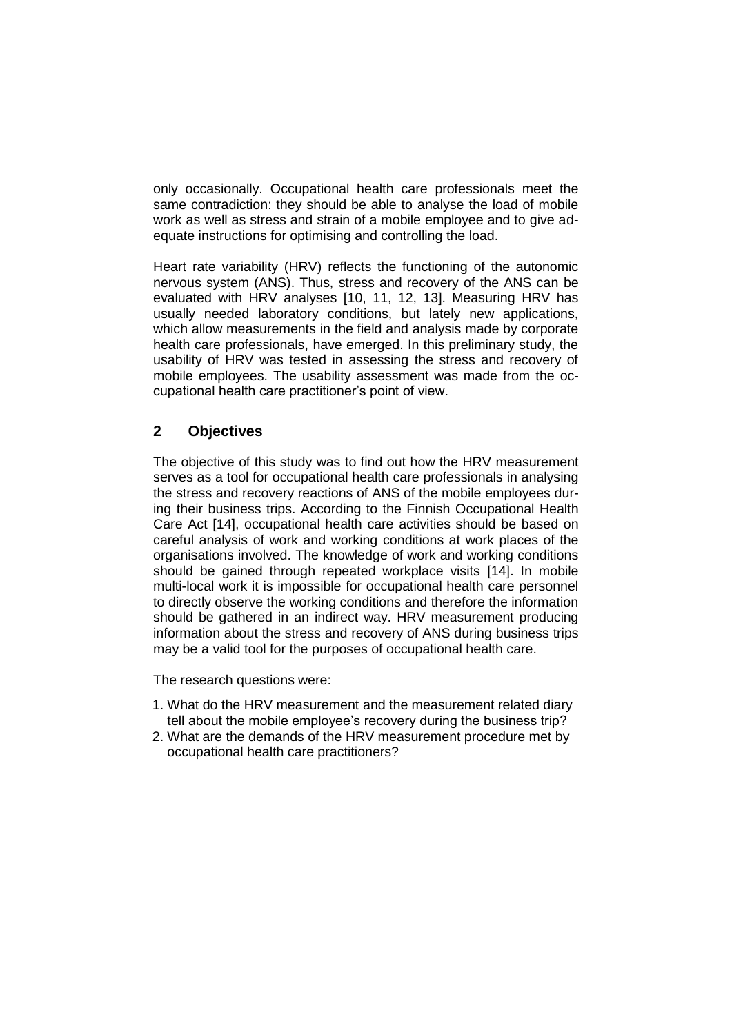only occasionally. Occupational health care professionals meet the same contradiction: they should be able to analyse the load of mobile work as well as stress and strain of a mobile employee and to give adequate instructions for optimising and controlling the load.

Heart rate variability (HRV) reflects the functioning of the autonomic nervous system (ANS). Thus, stress and recovery of the ANS can be evaluated with HRV analyses [10, 11, 12, 13]. Measuring HRV has usually needed laboratory conditions, but lately new applications, which allow measurements in the field and analysis made by corporate health care professionals, have emerged. In this preliminary study, the usability of HRV was tested in assessing the stress and recovery of mobile employees. The usability assessment was made from the occupational health care practitioner's point of view.

## **2 Objectives**

The objective of this study was to find out how the HRV measurement serves as a tool for occupational health care professionals in analysing the stress and recovery reactions of ANS of the mobile employees during their business trips. According to the Finnish Occupational Health Care Act [14], occupational health care activities should be based on careful analysis of work and working conditions at work places of the organisations involved. The knowledge of work and working conditions should be gained through repeated workplace visits [14]. In mobile multi-local work it is impossible for occupational health care personnel to directly observe the working conditions and therefore the information should be gathered in an indirect way. HRV measurement producing information about the stress and recovery of ANS during business trips may be a valid tool for the purposes of occupational health care.

The research questions were:

- 1. What do the HRV measurement and the measurement related diary tell about the mobile employee's recovery during the business trip?
- 2. What are the demands of the HRV measurement procedure met by occupational health care practitioners?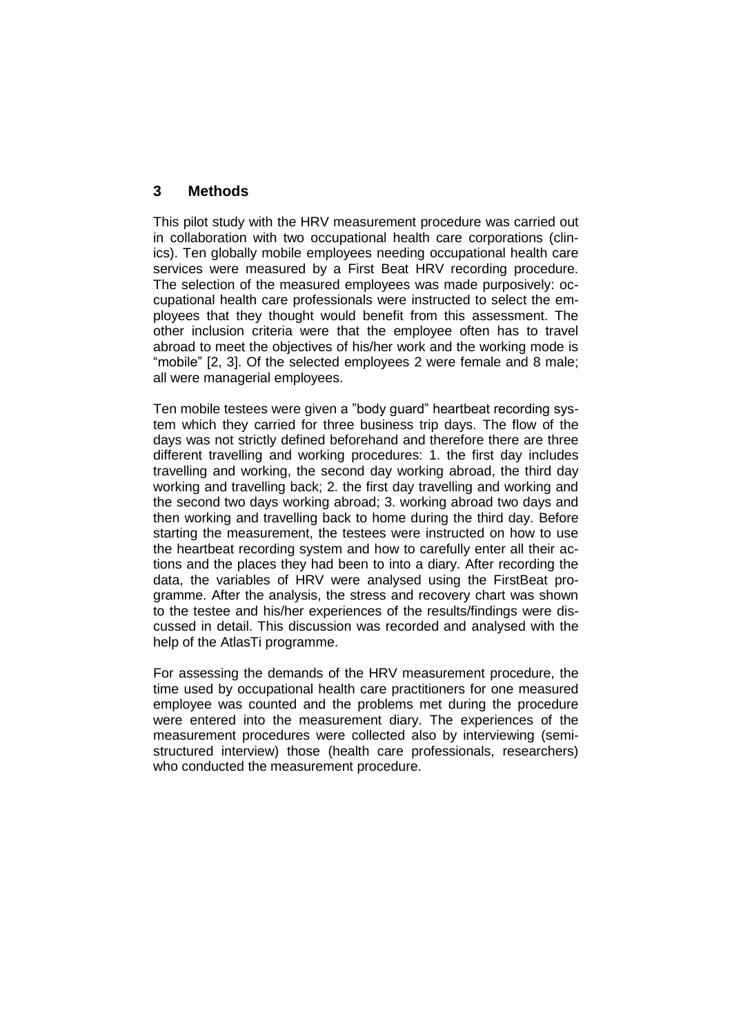## **3 Methods**

This pilot study with the HRV measurement procedure was carried out in collaboration with two occupational health care corporations (clinics). Ten globally mobile employees needing occupational health care services were measured by a First Beat HRV recording procedure. The selection of the measured employees was made purposively: occupational health care professionals were instructed to select the employees that they thought would benefit from this assessment. The other inclusion criteria were that the employee often has to travel abroad to meet the objectives of his/her work and the working mode is "mobile" [2, 3]. Of the selected employees 2 were female and 8 male; all were managerial employees.

Ten mobile testees were given a "body guard" heartbeat recording system which they carried for three business trip days. The flow of the days was not strictly defined beforehand and therefore there are three different travelling and working procedures: 1. the first day includes travelling and working, the second day working abroad, the third day working and travelling back; 2. the first day travelling and working and the second two days working abroad; 3. working abroad two days and then working and travelling back to home during the third day. Before starting the measurement, the testees were instructed on how to use the heartbeat recording system and how to carefully enter all their actions and the places they had been to into a diary. After recording the data, the variables of HRV were analysed using the FirstBeat programme. After the analysis, the stress and recovery chart was shown to the testee and his/her experiences of the results/findings were discussed in detail. This discussion was recorded and analysed with the help of the AtlasTi programme.

For assessing the demands of the HRV measurement procedure, the time used by occupational health care practitioners for one measured employee was counted and the problems met during the procedure were entered into the measurement diary. The experiences of the measurement procedures were collected also by interviewing (semistructured interview) those (health care professionals, researchers) who conducted the measurement procedure.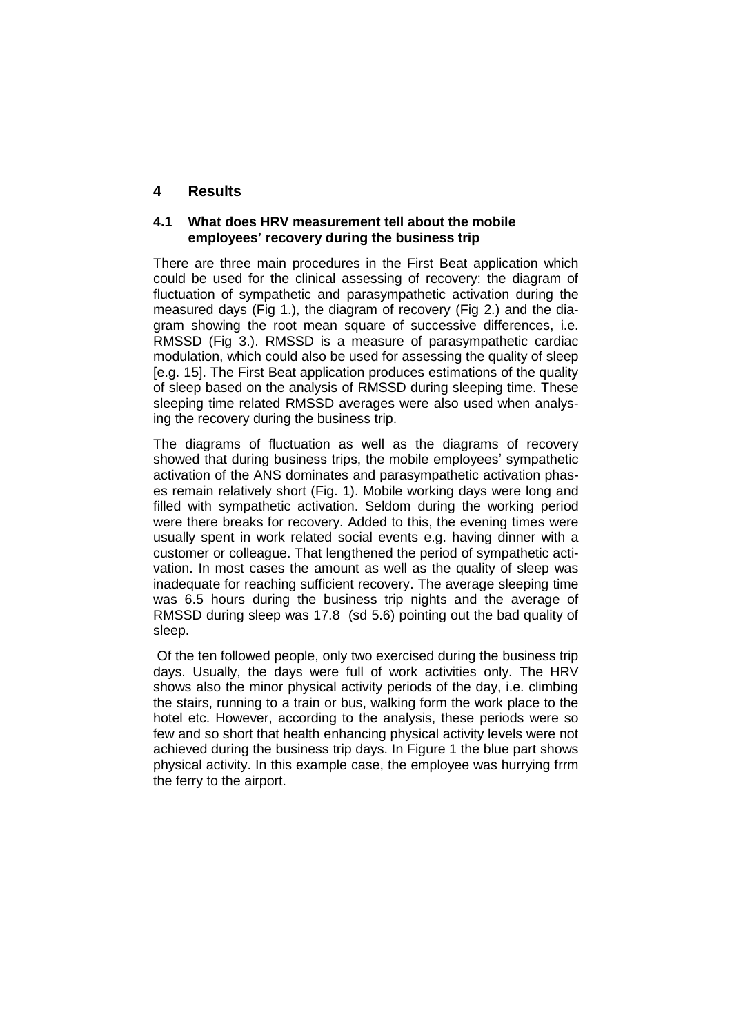## **4 Results**

### **4.1 What does HRV measurement tell about the mobile employees' recovery during the business trip**

There are three main procedures in the First Beat application which could be used for the clinical assessing of recovery: the diagram of fluctuation of sympathetic and parasympathetic activation during the measured days (Fig 1.), the diagram of recovery (Fig 2.) and the diagram showing the root mean square of successive differences, i.e. RMSSD (Fig 3.). RMSSD is a measure of parasympathetic cardiac modulation, which could also be used for assessing the quality of sleep [e.g. 15]. The First Beat application produces estimations of the quality of sleep based on the analysis of RMSSD during sleeping time. These sleeping time related RMSSD averages were also used when analysing the recovery during the business trip.

The diagrams of fluctuation as well as the diagrams of recovery showed that during business trips, the mobile employees' sympathetic activation of the ANS dominates and parasympathetic activation phases remain relatively short (Fig. 1). Mobile working days were long and filled with sympathetic activation. Seldom during the working period were there breaks for recovery. Added to this, the evening times were usually spent in work related social events e.g. having dinner with a customer or colleague. That lengthened the period of sympathetic activation. In most cases the amount as well as the quality of sleep was inadequate for reaching sufficient recovery. The average sleeping time was 6.5 hours during the business trip nights and the average of RMSSD during sleep was 17.8 (sd 5.6) pointing out the bad quality of sleep.

Of the ten followed people, only two exercised during the business trip days. Usually, the days were full of work activities only. The HRV shows also the minor physical activity periods of the day, i.e. climbing the stairs, running to a train or bus, walking form the work place to the hotel etc. However, according to the analysis, these periods were so few and so short that health enhancing physical activity levels were not achieved during the business trip days. In Figure 1 the blue part shows physical activity. In this example case, the employee was hurrying frrm the ferry to the airport.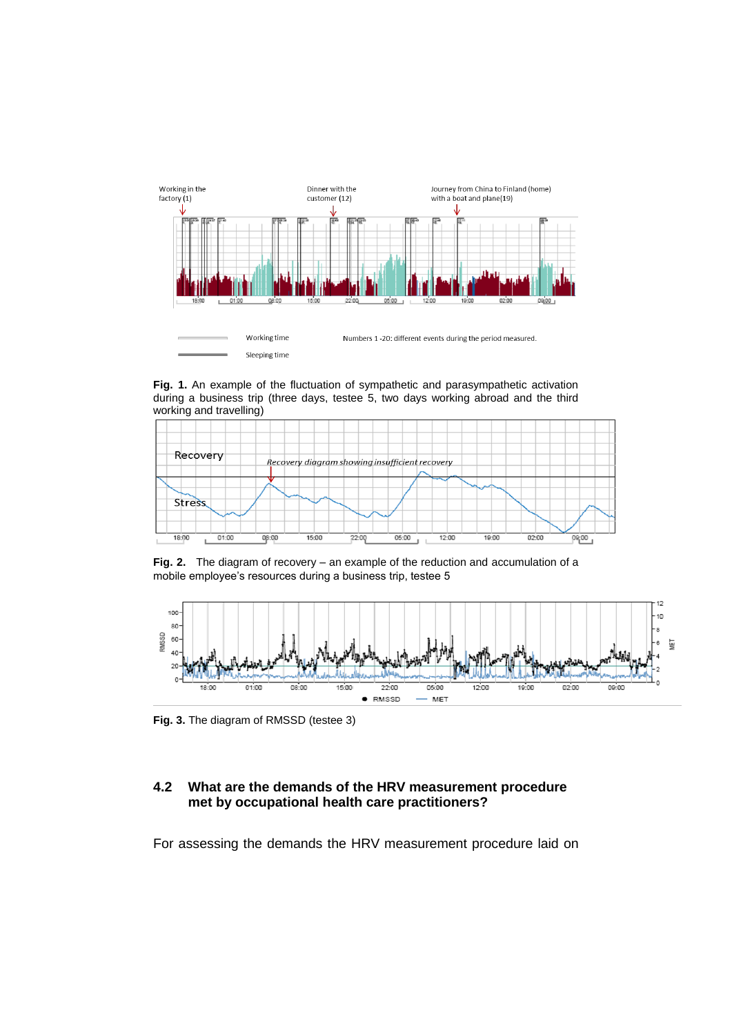

**Fig. 1.** An example of the fluctuation of sympathetic and parasympathetic activation during a business trip (three days, testee 5, two days working abroad and the third working and travelling)



**Fig. 2.** The diagram of recovery – an example of the reduction and accumulation of a mobile employee's resources during a business trip, testee 5



**Fig. 3.** The diagram of RMSSD (testee 3)

### **4.2 What are the demands of the HRV measurement procedure met by occupational health care practitioners?**

For assessing the demands the HRV measurement procedure laid on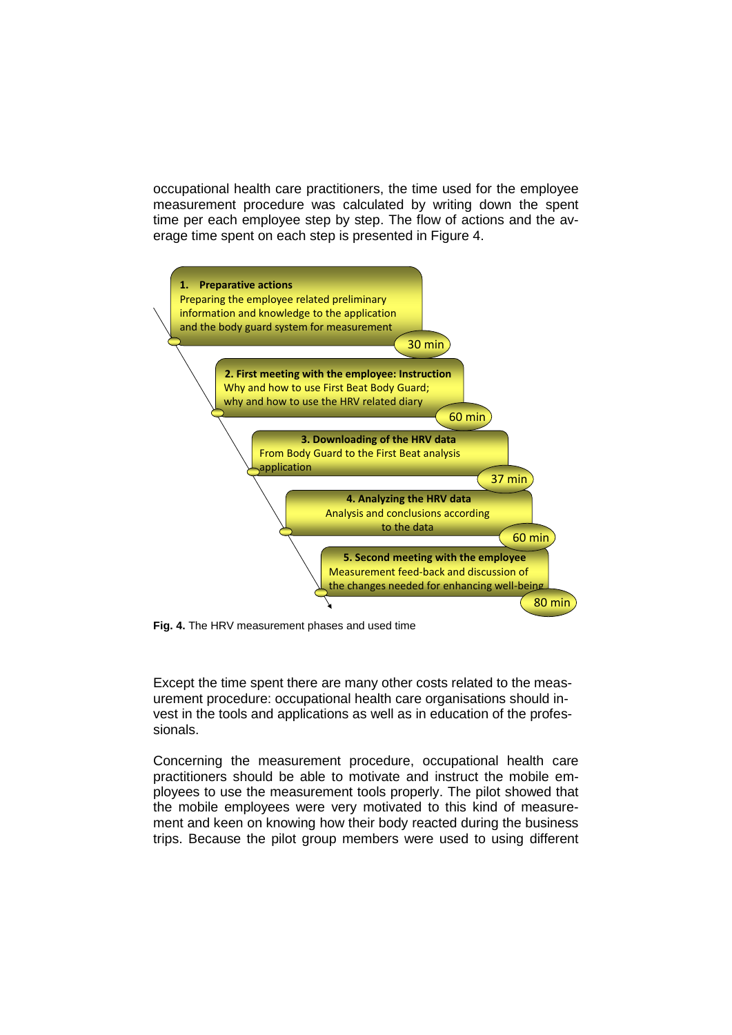occupational health care practitioners, the time used for the employee measurement procedure was calculated by writing down the spent time per each employee step by step. The flow of actions and the average time spent on each step is presented in Figure 4.



**Fig. 4.** The HRV measurement phases and used time

Except the time spent there are many other costs related to the measurement procedure: occupational health care organisations should invest in the tools and applications as well as in education of the professionals.

Concerning the measurement procedure, occupational health care practitioners should be able to motivate and instruct the mobile employees to use the measurement tools properly. The pilot showed that the mobile employees were very motivated to this kind of measurement and keen on knowing how their body reacted during the business trips. Because the pilot group members were used to using different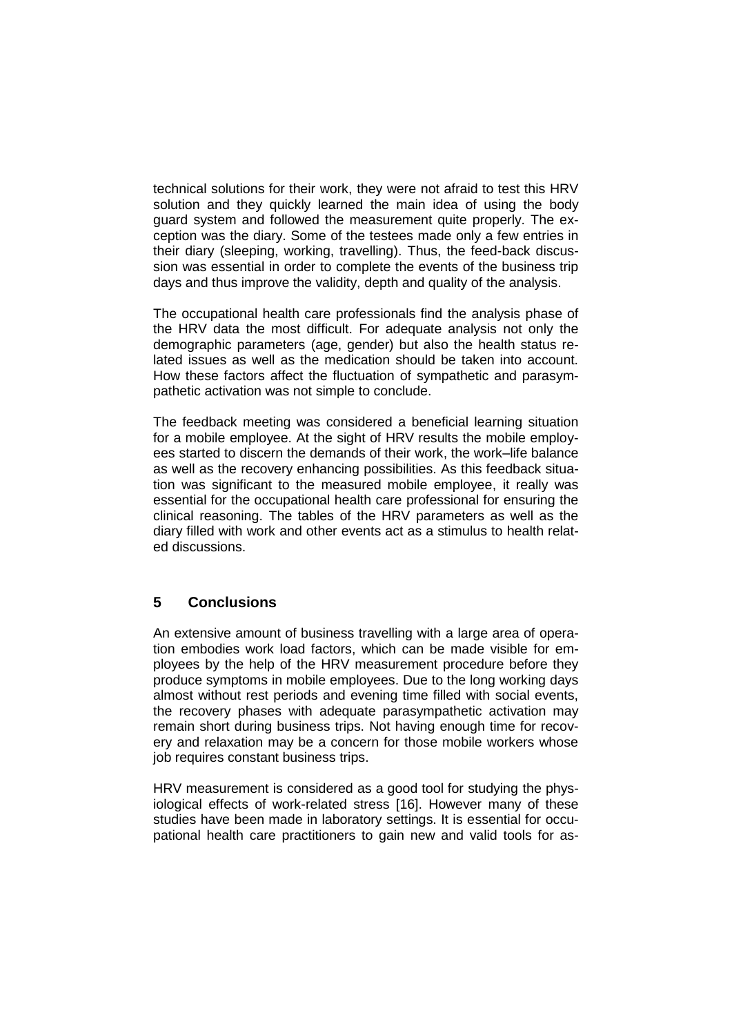technical solutions for their work, they were not afraid to test this HRV solution and they quickly learned the main idea of using the body guard system and followed the measurement quite properly. The exception was the diary. Some of the testees made only a few entries in their diary (sleeping, working, travelling). Thus, the feed-back discussion was essential in order to complete the events of the business trip days and thus improve the validity, depth and quality of the analysis.

The occupational health care professionals find the analysis phase of the HRV data the most difficult. For adequate analysis not only the demographic parameters (age, gender) but also the health status related issues as well as the medication should be taken into account. How these factors affect the fluctuation of sympathetic and parasympathetic activation was not simple to conclude.

The feedback meeting was considered a beneficial learning situation for a mobile employee. At the sight of HRV results the mobile employees started to discern the demands of their work, the work–life balance as well as the recovery enhancing possibilities. As this feedback situation was significant to the measured mobile employee, it really was essential for the occupational health care professional for ensuring the clinical reasoning. The tables of the HRV parameters as well as the diary filled with work and other events act as a stimulus to health related discussions.

## **5 Conclusions**

An extensive amount of business travelling with a large area of operation embodies work load factors, which can be made visible for employees by the help of the HRV measurement procedure before they produce symptoms in mobile employees. Due to the long working days almost without rest periods and evening time filled with social events, the recovery phases with adequate parasympathetic activation may remain short during business trips. Not having enough time for recovery and relaxation may be a concern for those mobile workers whose job requires constant business trips.

HRV measurement is considered as a good tool for studying the physiological effects of work-related stress [16]. However many of these studies have been made in laboratory settings. It is essential for occupational health care practitioners to gain new and valid tools for as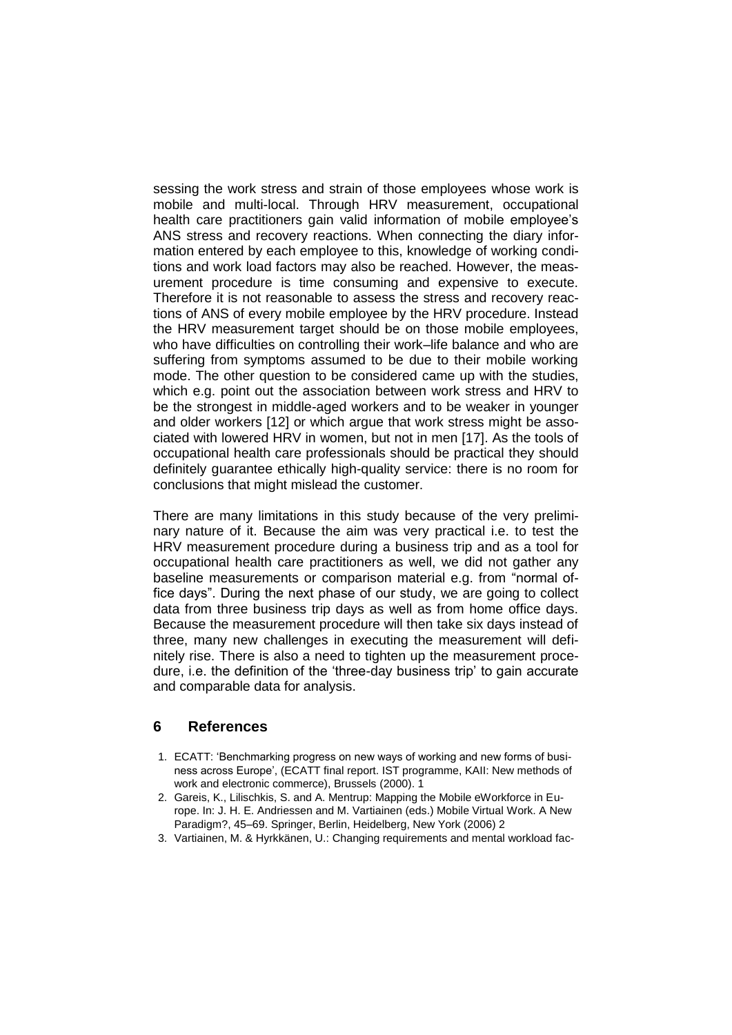sessing the work stress and strain of those employees whose work is mobile and multi-local. Through HRV measurement, occupational health care practitioners gain valid information of mobile employee's ANS stress and recovery reactions. When connecting the diary information entered by each employee to this, knowledge of working conditions and work load factors may also be reached. However, the measurement procedure is time consuming and expensive to execute. Therefore it is not reasonable to assess the stress and recovery reactions of ANS of every mobile employee by the HRV procedure. Instead the HRV measurement target should be on those mobile employees, who have difficulties on controlling their work–life balance and who are suffering from symptoms assumed to be due to their mobile working mode. The other question to be considered came up with the studies, which e.g. point out the association between work stress and HRV to be the strongest in middle-aged workers and to be weaker in younger and older workers [12] or which argue that work stress might be associated with lowered HRV in women, but not in men [17]. As the tools of occupational health care professionals should be practical they should definitely guarantee ethically high-quality service: there is no room for conclusions that might mislead the customer.

There are many limitations in this study because of the very preliminary nature of it. Because the aim was very practical i.e. to test the HRV measurement procedure during a business trip and as a tool for occupational health care practitioners as well, we did not gather any baseline measurements or comparison material e.g. from "normal office days". During the next phase of our study, we are going to collect data from three business trip days as well as from home office days. Because the measurement procedure will then take six days instead of three, many new challenges in executing the measurement will definitely rise. There is also a need to tighten up the measurement procedure, i.e. the definition of the 'three-day business trip' to gain accurate and comparable data for analysis.

#### **6 References**

- 1. ECATT: 'Benchmarking progress on new ways of working and new forms of business across Europe', (ECATT final report. IST programme, KAII: New methods of work and electronic commerce), Brussels (2000). 1
- 2. Gareis, K., Lilischkis, S. and A. Mentrup: Mapping the Mobile eWorkforce in Europe. In: J. H. E. Andriessen and M. Vartiainen (eds.) Mobile Virtual Work. A New Paradigm?, 45–69. Springer, Berlin, Heidelberg, New York (2006) 2
- 3. Vartiainen, M. & Hyrkkänen, U.: Changing requirements and mental workload fac-